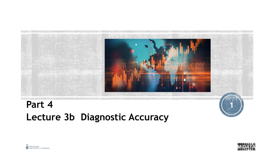

### **Part 4 Lecture 3b Diagnostic Accuracy**





**1**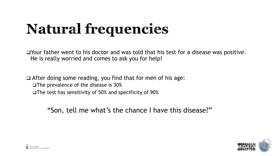# Natural frequencies

❑Your father went to his doctor and was told that his test for a disease was positive. He is really worried and comes to ask you for help!

❑ After doing some reading, you find that for men of his age: ❑The prevalence of the disease is 30% ❑The test has sensitivity of 50% and specificity of 90%

"Son, tell me what's the chance I have this disease?"



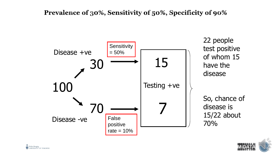#### Prevalence of 30%, Sensitivity of 50%, Specificity of 90%



22 people test positive of whom 15 have the disease

So, chance of disease is 15/22 about 70%

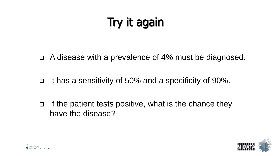## Try it again

❑ A disease with a prevalence of 4% must be diagnosed.

❑ It has a sensitivity of 50% and a specificity of 90%.

❑ If the patient tests positive, what is the chance they have the disease?



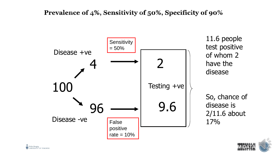#### Prevalence of  $4\%$ , Sensitivity of 50%, Specificity of 90%



11.6 people test positive of whom 2 have the disease

So, chance of disease is 2/11.6 about 17%



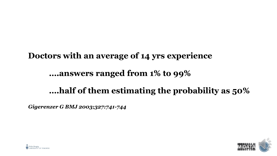### **Doctors with an average of 14 yrs experience**

#### **….answers ranged from 1% to 99%**

### **….half of them estimating the probability as 50%**

*Gigerenzer G BMJ 2003;327:741-744*



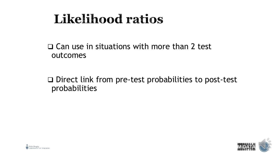## **Likelihood ratios**

❑ Can use in situations with more than 2 test outcomes

❑ Direct link from pre-test probabilities to post-test probabilities



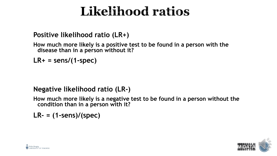## Likelihood ratios

#### **Positive likelihood ratio (LR+)**

**How much more likely is a positive test to be found in a person with the disease than in a person without it?**

**LR+ = sens/(1-spec)**

#### **Negative likelihood ratio (LR-)**

**How much more likely is a negative test to be found in a person without the condition than in a person with it?**

**LR- = (1-sens)/(spec)**



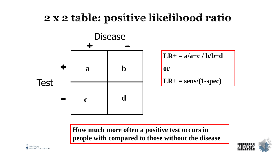### 2 x 2 table: positive likelihood ratio



**How much more often a positive test occurs in people with compared to those without the disease**



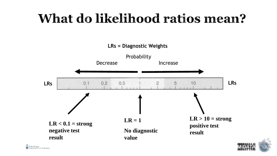# What do likelihood ratios mean?



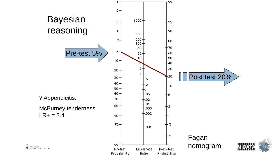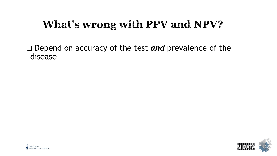## What's wrong with PPV and NPV?

❑ Depend on accuracy of the test *and* prevalence of the disease



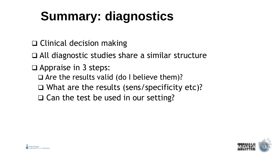# **Summary: diagnostics**

- ❑ Clinical decision making
- ❑ All diagnostic studies share a similar structure
- ❑ Appraise in 3 steps:
	- ❑ Are the results valid (do I believe them)?
	- ❑ What are the results (sens/specificity etc)?
	- ❑ Can the test be used in our setting?